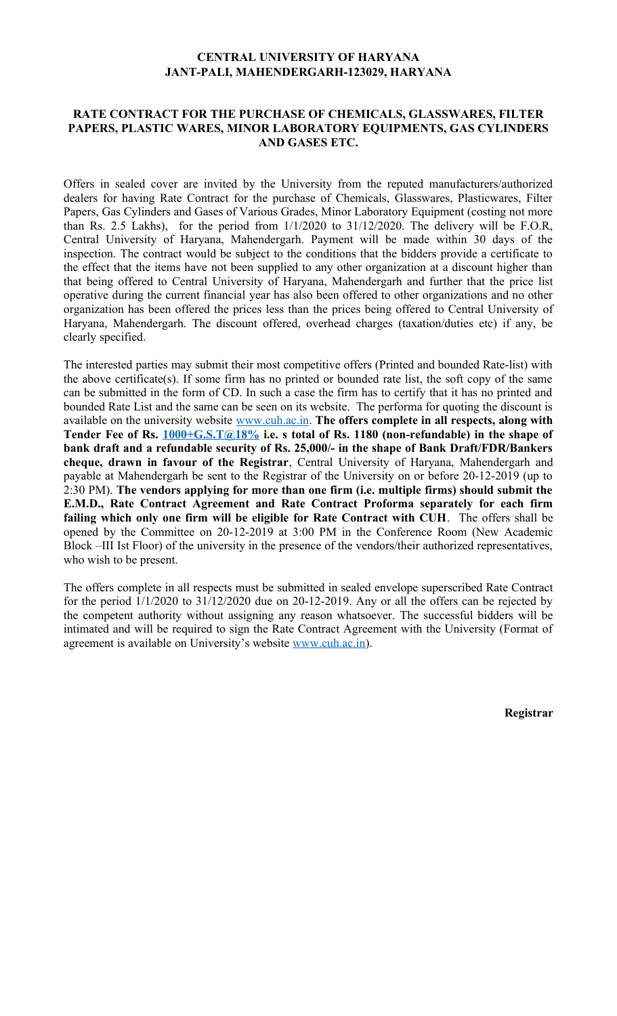# **CENTRAL UNIVERSITY OF HARYANA JANT-PALI, MAHENDERGARH-123029, HARYANA**

### **RATE CONTRACT FOR THE PURCHASE OF CHEMICALS, GLASSWARES, FILTER PAPERS, PLASTIC WARES, MINOR LABORATORY EQUIPMENTS, GAS CYLINDERS AND GASES ETC.**

Offers in sealed cover are invited by the University from the reputed manufacturers/authorized dealers for having Rate Contract for the purchase of Chemicals, Glasswares, Plasticwares, Filter Papers, Gas Cylinders and Gases of Various Grades, Minor Laboratory Equipment (costing not more than Rs. 2.5 Lakhs), for the period from 1/1/2020 to 31/12/2020. The delivery will be F.O.R, Central University of Haryana, Mahendergarh. Payment will be made within 30 days of the inspection. The contract would be subject to the conditions that the bidders provide a certificate to the effect that the items have not been supplied to any other organization at a discount higher than that being offered to Central University of Haryana, Mahendergarh and further that the price list operative during the current financial year has also been offered to other organizations and no other organization has been offered the prices less than the prices being offered to Central University of Haryana, Mahendergarh. The discount offered, overhead charges (taxation/duties etc) if any, be clearly specified.

The interested parties may submit their most competitive offers (Printed and bounded Rate-list) with the above certificate(s). If some firm has no printed or bounded rate list, the soft copy of the same can be submitted in the form of CD. In such a case the firm has to certify that it has no printed and bounded Rate List and the same can be seen on its website. The performa for quoting the discount is available on the university website [www.cuh.ac.in.](http://www.cuh.ac.in/) **The offers complete in all respects, along with Tender Fee of Rs. [1000+G.S.T@18%](mailto:1000+G.S.T@18%25) i.e. s total of Rs. 1180 (non-refundable) in the shape of bank draft and a refundable security of Rs. 25,000/- in the shape of Bank Draft/FDR/Bankers cheque, drawn in favour of the Registrar**, Central University of Haryana, Mahendergarh and payable at Mahendergarh be sent to the Registrar of the University on or before 20-12-2019 (up to 2:30 PM). **The vendors applying for more than one firm (i.e. multiple firms) should submit the E.M.D., Rate Contract Agreement and Rate Contract Proforma separately for each firm failing which only one firm will be eligible for Rate Contract with CUH**. The offers shall be opened by the Committee on 20-12-2019 at 3:00 PM in the Conference Room (New Academic Block –III Ist Floor) of the university in the presence of the vendors/their authorized representatives, who wish to be present.

The offers complete in all respects must be submitted in sealed envelope superscribed Rate Contract for the period 1/1/2020 to 31/12/2020 due on 20-12-2019. Any or all the offers can be rejected by the competent authority without assigning any reason whatsoever. The successful bidders will be intimated and will be required to sign the Rate Contract Agreement with the University (Format of agreement is available on University's website [www.cuh.ac.in\)](http://www.cuh.ac.in/).

**Registrar**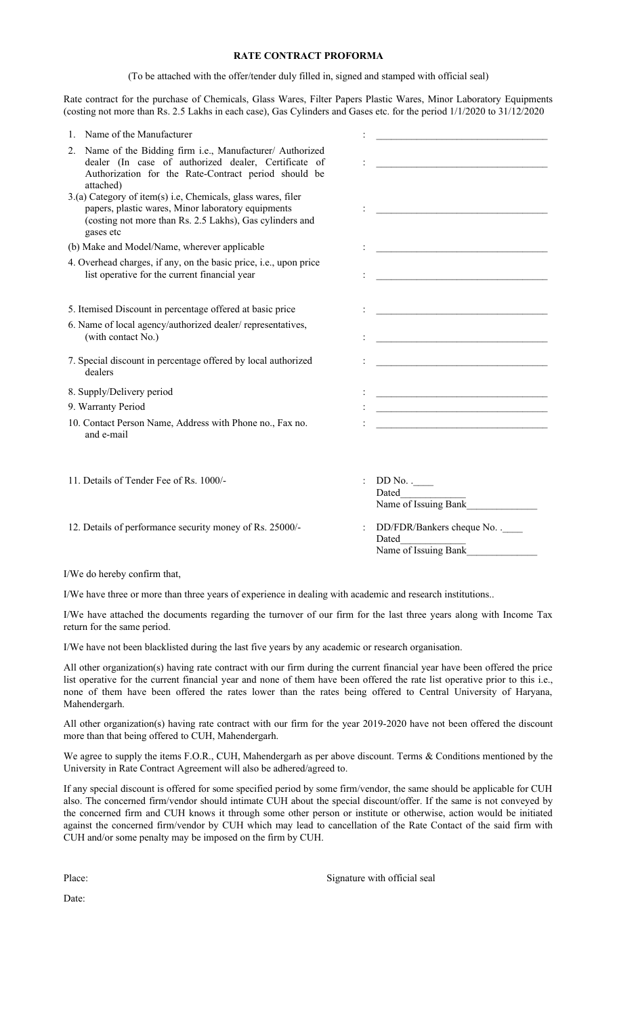#### **RATE CONTRACT PROFORMA**

(To be attached with the offer/tender duly filled in, signed and stamped with official seal)

Rate contract for the purchase of Chemicals, Glass Wares, Filter Papers Plastic Wares, Minor Laboratory Equipments (costing not more than Rs. 2.5 Lakhs in each case), Gas Cylinders and Gases etc. for the period 1/1/2020 to 31/12/2020

| Name of the Manufacturer<br>1.                                                                                                                                                              |                                                                                                                                                                                                                                      |
|---------------------------------------------------------------------------------------------------------------------------------------------------------------------------------------------|--------------------------------------------------------------------------------------------------------------------------------------------------------------------------------------------------------------------------------------|
| Name of the Bidding firm i.e., Manufacturer/ Authorized<br>2.<br>dealer (In case of authorized dealer, Certificate of<br>Authorization for the Rate-Contract period should be<br>attached)  | the control of the control of the control of the control of the control of                                                                                                                                                           |
| 3.(a) Category of item(s) i.e, Chemicals, glass wares, filer<br>papers, plastic wares, Minor laboratory equipments<br>(costing not more than Rs. 2.5 Lakhs), Gas cylinders and<br>gases etc |                                                                                                                                                                                                                                      |
| (b) Make and Model/Name, wherever applicable                                                                                                                                                |                                                                                                                                                                                                                                      |
| 4. Overhead charges, if any, on the basic price, <i>i.e.</i> , upon price<br>list operative for the current financial year                                                                  |                                                                                                                                                                                                                                      |
| 5. Itemised Discount in percentage offered at basic price                                                                                                                                   |                                                                                                                                                                                                                                      |
| 6. Name of local agency/authorized dealer/representatives,<br>(with contact No.)                                                                                                            | <u> 1989 - Johann Harry Harry Harry Harry Harry Harry Harry Harry Harry Harry Harry Harry Harry Harry Harry Harry Harry Harry Harry Harry Harry Harry Harry Harry Harry Harry Harry Harry Harry Harry Harry Harry Harry Harry Ha</u> |
| 7. Special discount in percentage offered by local authorized<br>dealers                                                                                                                    | <u> 1989 - Johann John Barn, mars ar breist ar breist ar breist ar breist ar breist ar breist ar breist ar breis</u>                                                                                                                 |
| 8. Supply/Delivery period                                                                                                                                                                   | the control of the control of the control of the control of the control of                                                                                                                                                           |
| 9. Warranty Period                                                                                                                                                                          | the control of the control of the control of the control of the control of                                                                                                                                                           |
| 10. Contact Person Name, Address with Phone no., Fax no.<br>and e-mail                                                                                                                      |                                                                                                                                                                                                                                      |
| 11. Details of Tender Fee of Rs. 1000/-                                                                                                                                                     | $DD No.$ .<br>Dated<br>Name of Issuing Bank                                                                                                                                                                                          |
| 12. Details of performance security money of Rs. 25000/-                                                                                                                                    | DD/FDR/Bankers cheque No. .<br>Dated<br>Name of Issuing Bank                                                                                                                                                                         |

I/We do hereby confirm that,

I/We have three or more than three years of experience in dealing with academic and research institutions..

I/We have attached the documents regarding the turnover of our firm for the last three years along with Income Tax return for the same period.

I/We have not been blacklisted during the last five years by any academic or research organisation.

All other organization(s) having rate contract with our firm during the current financial year have been offered the price list operative for the current financial year and none of them have been offered the rate list operative prior to this i.e., none of them have been offered the rates lower than the rates being offered to Central University of Haryana, Mahendergarh.

All other organization(s) having rate contract with our firm for the year 2019-2020 have not been offered the discount more than that being offered to CUH, Mahendergarh.

We agree to supply the items F.O.R., CUH, Mahendergarh as per above discount. Terms & Conditions mentioned by the University in Rate Contract Agreement will also be adhered/agreed to.

If any special discount is offered for some specified period by some firm/vendor, the same should be applicable for CUH also. The concerned firm/vendor should intimate CUH about the special discount/offer. If the same is not conveyed by the concerned firm and CUH knows it through some other person or institute or otherwise, action would be initiated against the concerned firm/vendor by CUH which may lead to cancellation of the Rate Contact of the said firm with CUH and/or some penalty may be imposed on the firm by CUH.

Place: Signature with official seal

Date: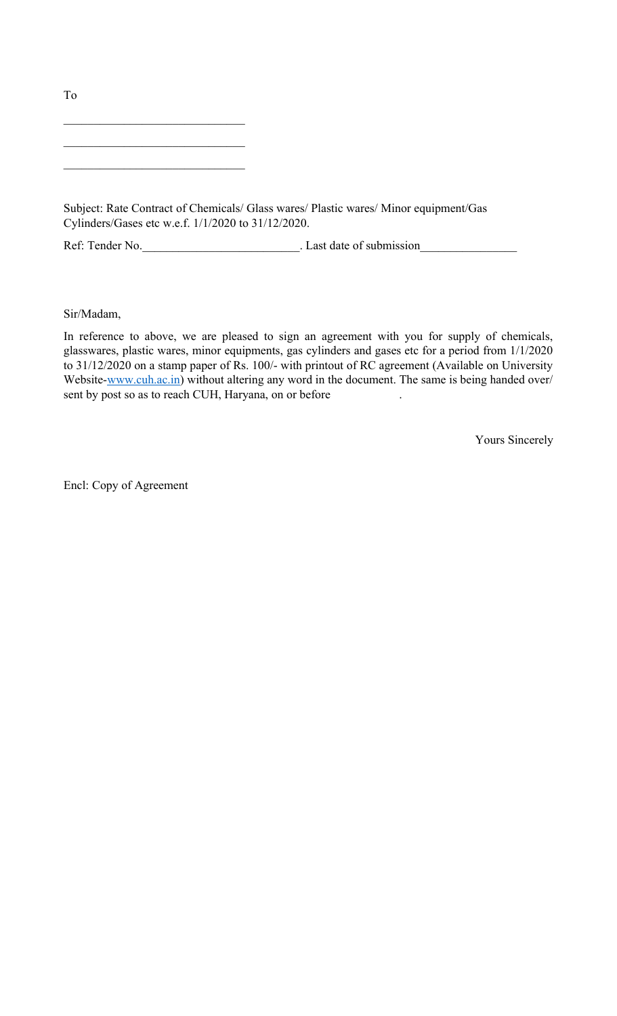$\mathcal{L}_\text{max}$ 

 $\mathcal{L}_\text{max}$  , where  $\mathcal{L}_\text{max}$  and  $\mathcal{L}_\text{max}$  and  $\mathcal{L}_\text{max}$ 

 $\mathcal{L}_\text{max}$  , where  $\mathcal{L}_\text{max}$  and  $\mathcal{L}_\text{max}$  and  $\mathcal{L}_\text{max}$ 

Subject: Rate Contract of Chemicals/ Glass wares/ Plastic wares/ Minor equipment/Gas Cylinders/Gases etc w.e.f. 1/1/2020 to 31/12/2020.

Ref: Tender No.\_\_\_\_\_\_\_\_\_\_\_\_\_\_\_\_\_\_\_\_\_\_\_\_\_\_. Last date of submission\_\_\_\_\_\_\_\_\_\_\_\_\_\_\_\_

Sir/Madam,

In reference to above, we are pleased to sign an agreement with you for supply of chemicals, glasswares, plastic wares, minor equipments, gas cylinders and gases etc for a period from 1/1/2020 to 31/12/2020 on a stamp paper of Rs. 100/- with printout of RC agreement (Available on University Website[-www.cuh.ac.in\)](http://www.cuh.ac.in/) without altering any word in the document. The same is being handed over/ sent by post so as to reach CUH, Haryana, on or before

Yours Sincerely

Encl: Copy of Agreement

To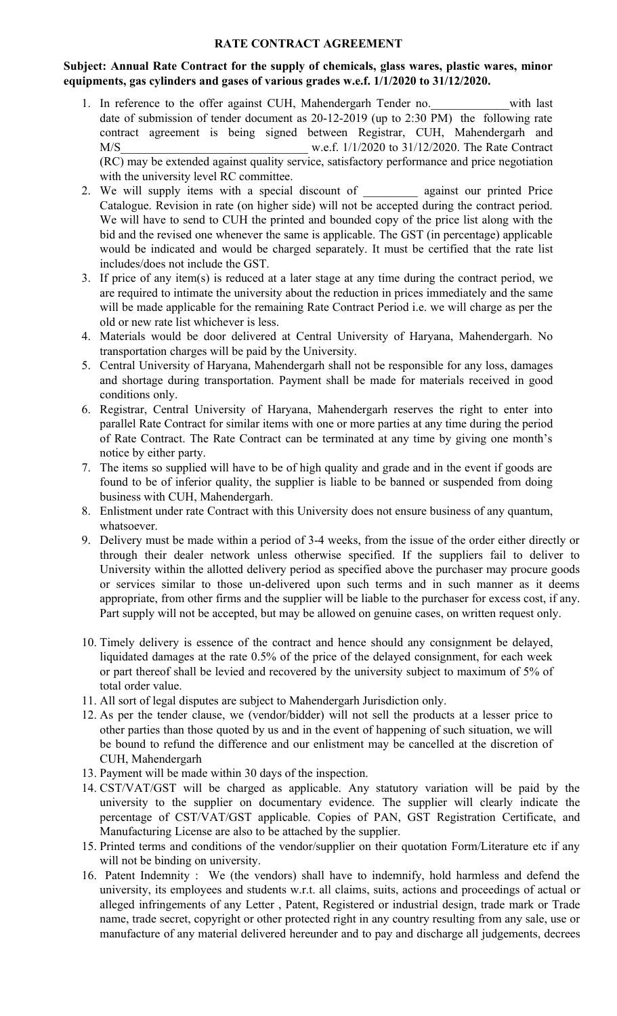# **RATE CONTRACT AGREEMENT**

# **Subject: Annual Rate Contract for the supply of chemicals, glass wares, plastic wares, minor equipments, gas cylinders and gases of various grades w.e.f. 1/1/2020 to 31/12/2020.**

- 1. In reference to the offer against CUH, Mahendergarh Tender no. with last date of submission of tender document as 20-12-2019 (up to 2:30 PM) the following rate contract agreement is being signed between Registrar, CUH, Mahendergarh and M/S w.e.f. 1/1/2020 to 31/12/2020. The Rate Contract (RC) may be extended against quality service, satisfactory performance and price negotiation with the university level RC committee.
- 2. We will supply items with a special discount of against our printed Price Catalogue. Revision in rate (on higher side) will not be accepted during the contract period. We will have to send to CUH the printed and bounded copy of the price list along with the bid and the revised one whenever the same is applicable. The GST (in percentage) applicable would be indicated and would be charged separately. It must be certified that the rate list includes/does not include the GST.
- 3. If price of any item(s) is reduced at a later stage at any time during the contract period, we are required to intimate the university about the reduction in prices immediately and the same will be made applicable for the remaining Rate Contract Period i.e. we will charge as per the old or new rate list whichever is less.
- 4. Materials would be door delivered at Central University of Haryana, Mahendergarh. No transportation charges will be paid by the University.
- 5. Central University of Haryana, Mahendergarh shall not be responsible for any loss, damages and shortage during transportation. Payment shall be made for materials received in good conditions only.
- 6. Registrar, Central University of Haryana, Mahendergarh reserves the right to enter into parallel Rate Contract for similar items with one or more parties at any time during the period of Rate Contract. The Rate Contract can be terminated at any time by giving one month's notice by either party.
- 7. The items so supplied will have to be of high quality and grade and in the event if goods are found to be of inferior quality, the supplier is liable to be banned or suspended from doing business with CUH, Mahendergarh.
- 8. Enlistment under rate Contract with this University does not ensure business of any quantum, whatsoever.
- 9. Delivery must be made within a period of 3-4 weeks, from the issue of the order either directly or through their dealer network unless otherwise specified. If the suppliers fail to deliver to University within the allotted delivery period as specified above the purchaser may procure goods or services similar to those un-delivered upon such terms and in such manner as it deems appropriate, from other firms and the supplier will be liable to the purchaser for excess cost, if any. Part supply will not be accepted, but may be allowed on genuine cases, on written request only.
- 10. Timely delivery is essence of the contract and hence should any consignment be delayed, liquidated damages at the rate 0.5% of the price of the delayed consignment, for each week or part thereof shall be levied and recovered by the university subject to maximum of 5% of total order value.
- 11. All sort of legal disputes are subject to Mahendergarh Jurisdiction only.
- 12. As per the tender clause, we (vendor/bidder) will not sell the products at a lesser price to other parties than those quoted by us and in the event of happening of such situation, we will be bound to refund the difference and our enlistment may be cancelled at the discretion of CUH, Mahendergarh
- 13. Payment will be made within 30 days of the inspection.
- 14. CST/VAT/GST will be charged as applicable. Any statutory variation will be paid by the university to the supplier on documentary evidence. The supplier will clearly indicate the percentage of CST/VAT/GST applicable. Copies of PAN, GST Registration Certificate, and Manufacturing License are also to be attached by the supplier.
- 15. Printed terms and conditions of the vendor/supplier on their quotation Form/Literature etc if any will not be binding on university.
- 16. Patent Indemnity : We (the vendors) shall have to indemnify, hold harmless and defend the university, its employees and students w.r.t. all claims, suits, actions and proceedings of actual or alleged infringements of any Letter , Patent, Registered or industrial design, trade mark or Trade name, trade secret, copyright or other protected right in any country resulting from any sale, use or manufacture of any material delivered hereunder and to pay and discharge all judgements, decrees